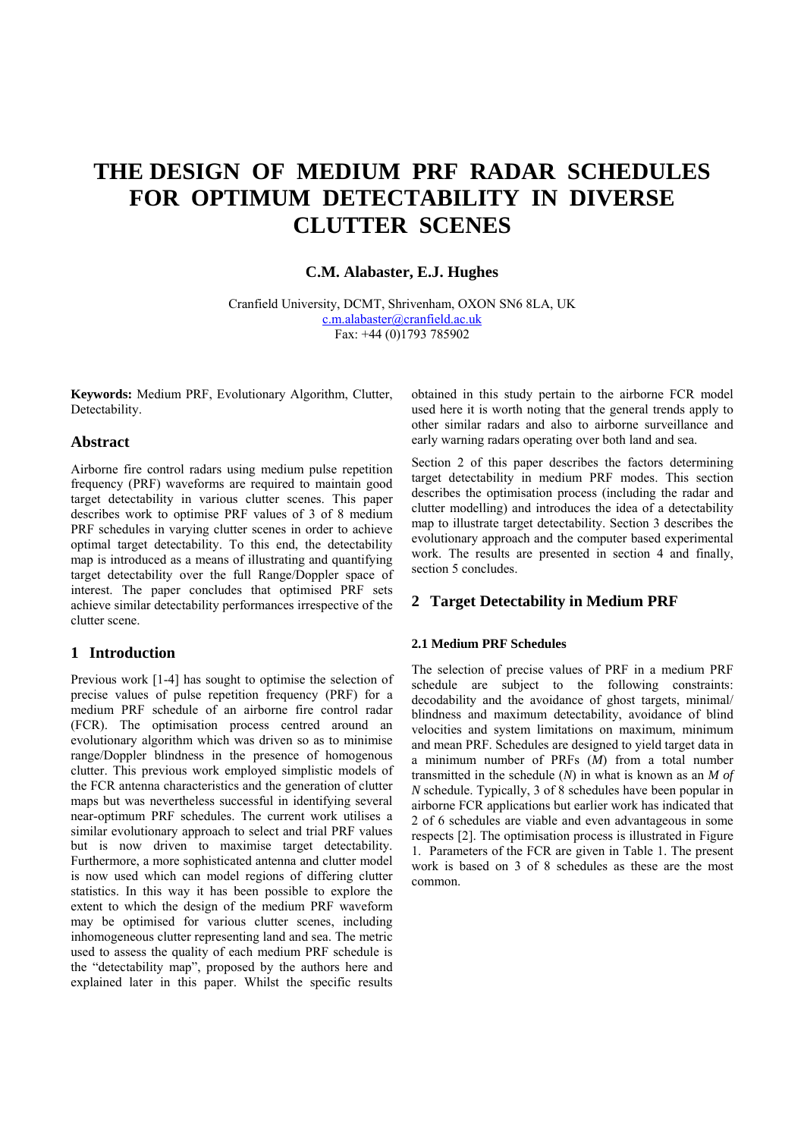# **THE DESIGN OF MEDIUM PRF RADAR SCHEDULES FOR OPTIMUM DETECTABILITY IN DIVERSE CLUTTER SCENES**

## **C.M. Alabaster, E.J. Hughes**

Cranfield University, DCMT, Shrivenham, OXON SN6 8LA, UK c.m.alabaster@cranfield.ac.uk Fax: +44 (0)1793 785902

**Keywords:** Medium PRF, Evolutionary Algorithm, Clutter, Detectability.

## **Abstract**

Airborne fire control radars using medium pulse repetition frequency (PRF) waveforms are required to maintain good target detectability in various clutter scenes. This paper describes work to optimise PRF values of 3 of 8 medium PRF schedules in varying clutter scenes in order to achieve optimal target detectability. To this end, the detectability map is introduced as a means of illustrating and quantifying target detectability over the full Range/Doppler space of interest. The paper concludes that optimised PRF sets achieve similar detectability performances irrespective of the clutter scene.

## **1 Introduction**

Previous work [1-4] has sought to optimise the selection of precise values of pulse repetition frequency (PRF) for a medium PRF schedule of an airborne fire control radar (FCR). The optimisation process centred around an evolutionary algorithm which was driven so as to minimise range/Doppler blindness in the presence of homogenous clutter. This previous work employed simplistic models of the FCR antenna characteristics and the generation of clutter maps but was nevertheless successful in identifying several near-optimum PRF schedules. The current work utilises a similar evolutionary approach to select and trial PRF values but is now driven to maximise target detectability. Furthermore, a more sophisticated antenna and clutter model is now used which can model regions of differing clutter statistics. In this way it has been possible to explore the extent to which the design of the medium PRF waveform may be optimised for various clutter scenes, including inhomogeneous clutter representing land and sea. The metric used to assess the quality of each medium PRF schedule is the "detectability map", proposed by the authors here and explained later in this paper. Whilst the specific results

obtained in this study pertain to the airborne FCR model used here it is worth noting that the general trends apply to other similar radars and also to airborne surveillance and early warning radars operating over both land and sea.

Section 2 of this paper describes the factors determining target detectability in medium PRF modes. This section describes the optimisation process (including the radar and clutter modelling) and introduces the idea of a detectability map to illustrate target detectability. Section 3 describes the evolutionary approach and the computer based experimental work. The results are presented in section 4 and finally, section 5 concludes.

## **2 Target Detectability in Medium PRF**

## **2.1 Medium PRF Schedules**

The selection of precise values of PRF in a medium PRF schedule are subject to the following constraints: decodability and the avoidance of ghost targets, minimal/ blindness and maximum detectability, avoidance of blind velocities and system limitations on maximum, minimum and mean PRF. Schedules are designed to yield target data in a minimum number of PRFs (*M*) from a total number transmitted in the schedule (*N*) in what is known as an *M of N* schedule. Typically, 3 of 8 schedules have been popular in airborne FCR applications but earlier work has indicated that 2 of 6 schedules are viable and even advantageous in some respects [2]. The optimisation process is illustrated in Figure 1. Parameters of the FCR are given in Table 1. The present work is based on 3 of 8 schedules as these are the most common.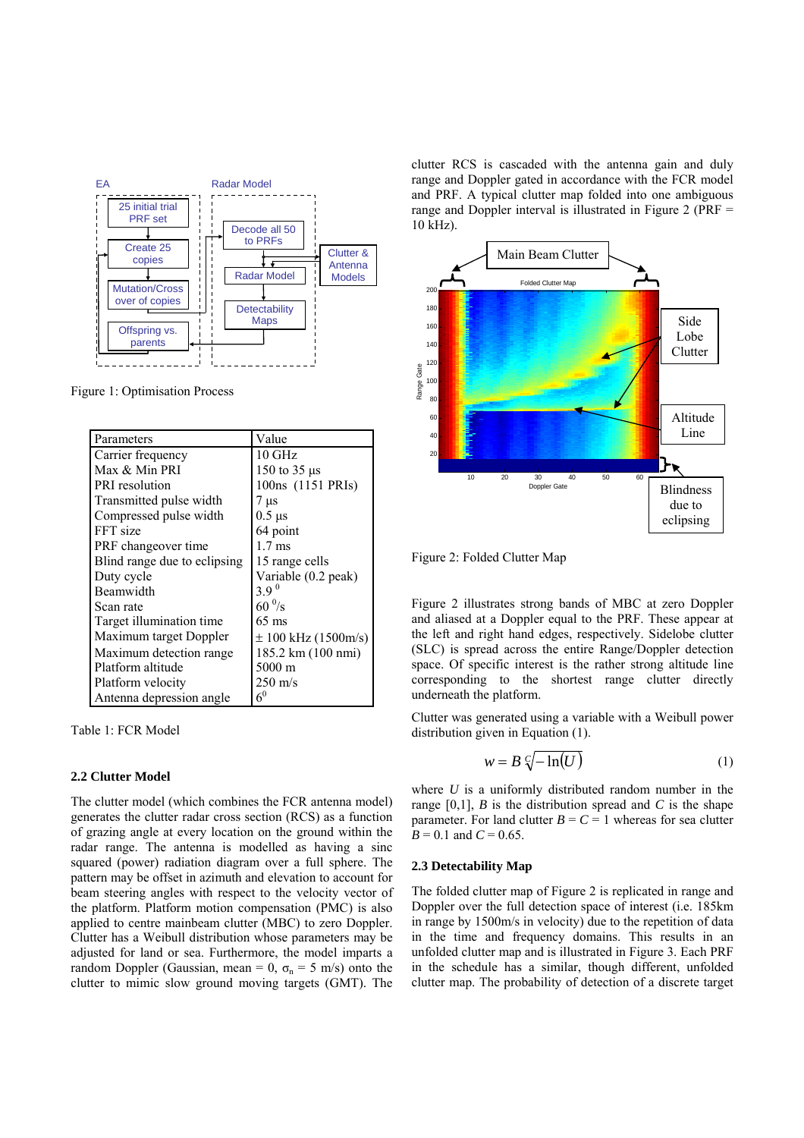

Figure 1: Optimisation Process

| Parameters                   | Value                   |  |
|------------------------------|-------------------------|--|
| Carrier frequency            | $10$ GHz                |  |
| Max & Min PRI                | 150 to 35 µs            |  |
| <b>PRI</b> resolution        | 100ns (1151 PRIs)       |  |
| Transmitted pulse width      | 7 us                    |  |
| Compressed pulse width       | $0.5 \mu s$             |  |
| FFT size                     | 64 point                |  |
| PRF changeover time          | $1.7 \text{ ms}$        |  |
| Blind range due to eclipsing | 15 range cells          |  |
| Duty cycle                   | Variable (0.2 peak)     |  |
| Beamwidth                    | 3.9                     |  |
| Scan rate                    | $60\frac{0}{\text{S}}$  |  |
| Target illumination time     | $65 \text{ ms}$         |  |
| Maximum target Doppler       | $\pm$ 100 kHz (1500m/s) |  |
| Maximum detection range.     | 185.2 km (100 nmi)      |  |
| Platform altitude            | 5000 m                  |  |
| Platform velocity            | 250 m/s                 |  |
| Antenna depression angle     |                         |  |

Table 1: FCR Model

#### **2.2 Clutter Model**

The clutter model (which combines the FCR antenna model) generates the clutter radar cross section (RCS) as a function of grazing angle at every location on the ground within the radar range. The antenna is modelled as having a sinc squared (power) radiation diagram over a full sphere. The pattern may be offset in azimuth and elevation to account for beam steering angles with respect to the velocity vector of the platform. Platform motion compensation (PMC) is also applied to centre mainbeam clutter (MBC) to zero Doppler. Clutter has a Weibull distribution whose parameters may be adjusted for land or sea. Furthermore, the model imparts a random Doppler (Gaussian, mean = 0,  $\sigma_n$  = 5 m/s) onto the clutter to mimic slow ground moving targets (GMT). The

clutter RCS is cascaded with the antenna gain and duly range and Doppler gated in accordance with the FCR model and PRF. A typical clutter map folded into one ambiguous range and Doppler interval is illustrated in Figure 2 (PRF = 10 kHz).



Figure 2: Folded Clutter Map

Figure 2 illustrates strong bands of MBC at zero Doppler and aliased at a Doppler equal to the PRF. These appear at the left and right hand edges, respectively. Sidelobe clutter (SLC) is spread across the entire Range/Doppler detection space. Of specific interest is the rather strong altitude line corresponding to the shortest range clutter directly underneath the platform.

Clutter was generated using a variable with a Weibull power distribution given in Equation (1).

$$
w = B \sqrt{1 - \ln(U)} \tag{1}
$$

where *U* is a uniformly distributed random number in the range  $[0,1]$ , *B* is the distribution spread and *C* is the shape parameter. For land clutter  $B = C = 1$  whereas for sea clutter  $B = 0.1$  and  $C = 0.65$ .

#### **2.3 Detectability Map**

The folded clutter map of Figure 2 is replicated in range and Doppler over the full detection space of interest (i.e. 185km in range by 1500m/s in velocity) due to the repetition of data in the time and frequency domains. This results in an unfolded clutter map and is illustrated in Figure 3. Each PRF in the schedule has a similar, though different, unfolded clutter map. The probability of detection of a discrete target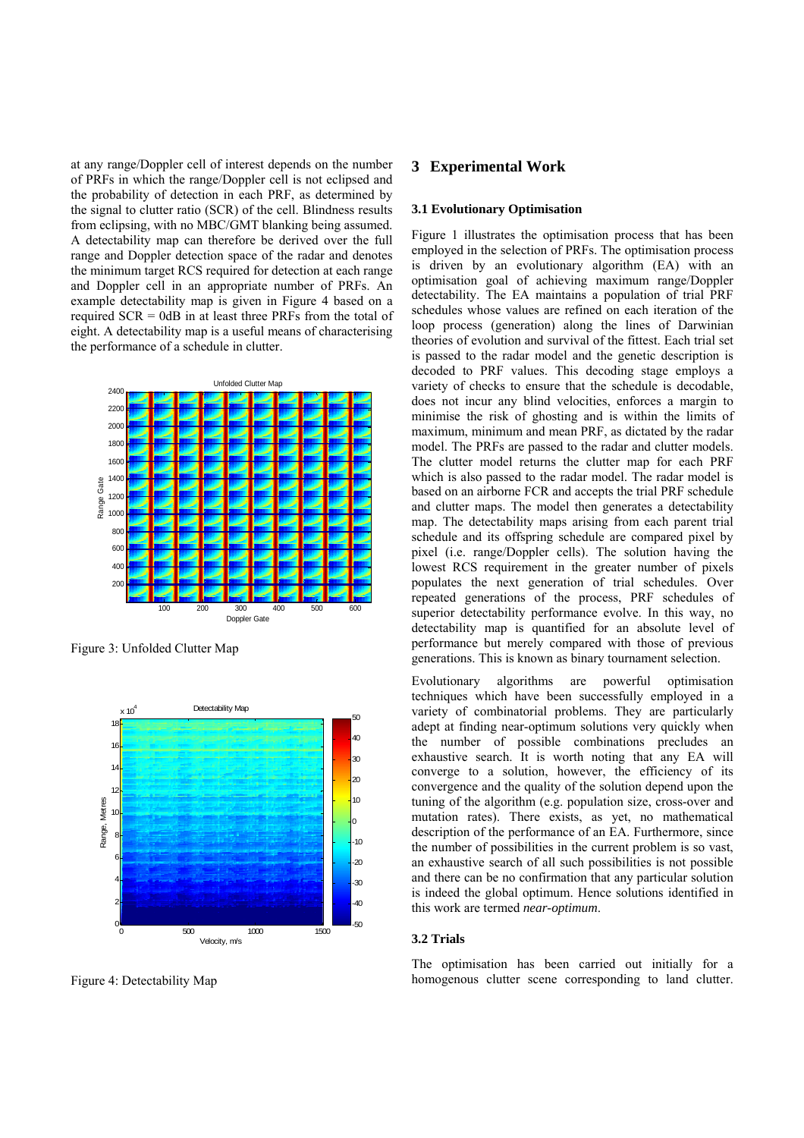at any range/Doppler cell of interest depends on the number of PRFs in which the range/Doppler cell is not eclipsed and the probability of detection in each PRF, as determined by the signal to clutter ratio (SCR) of the cell. Blindness results from eclipsing, with no MBC/GMT blanking being assumed. A detectability map can therefore be derived over the full range and Doppler detection space of the radar and denotes the minimum target RCS required for detection at each range and Doppler cell in an appropriate number of PRFs. An example detectability map is given in Figure 4 based on a required SCR = 0dB in at least three PRFs from the total of eight. A detectability map is a useful means of characterising the performance of a schedule in clutter.



Figure 3: Unfolded Clutter Map



Figure 4: Detectability Map

## **3 Experimental Work**

#### **3.1 Evolutionary Optimisation**

Figure 1 illustrates the optimisation process that has been employed in the selection of PRFs. The optimisation process is driven by an evolutionary algorithm (EA) with an optimisation goal of achieving maximum range/Doppler detectability. The EA maintains a population of trial PRF schedules whose values are refined on each iteration of the loop process (generation) along the lines of Darwinian theories of evolution and survival of the fittest. Each trial set is passed to the radar model and the genetic description is decoded to PRF values. This decoding stage employs a variety of checks to ensure that the schedule is decodable, does not incur any blind velocities, enforces a margin to minimise the risk of ghosting and is within the limits of maximum, minimum and mean PRF, as dictated by the radar model. The PRFs are passed to the radar and clutter models. The clutter model returns the clutter map for each PRF which is also passed to the radar model. The radar model is based on an airborne FCR and accepts the trial PRF schedule and clutter maps. The model then generates a detectability map. The detectability maps arising from each parent trial schedule and its offspring schedule are compared pixel by pixel (i.e. range/Doppler cells). The solution having the lowest RCS requirement in the greater number of pixels populates the next generation of trial schedules. Over repeated generations of the process, PRF schedules of superior detectability performance evolve. In this way, no detectability map is quantified for an absolute level of performance but merely compared with those of previous generations. This is known as binary tournament selection.

Evolutionary algorithms are powerful optimisation techniques which have been successfully employed in a variety of combinatorial problems. They are particularly adept at finding near-optimum solutions very quickly when the number of possible combinations precludes an exhaustive search. It is worth noting that any EA will converge to a solution, however, the efficiency of its convergence and the quality of the solution depend upon the tuning of the algorithm (e.g. population size, cross-over and mutation rates). There exists, as yet, no mathematical description of the performance of an EA. Furthermore, since the number of possibilities in the current problem is so vast, an exhaustive search of all such possibilities is not possible and there can be no confirmation that any particular solution is indeed the global optimum. Hence solutions identified in this work are termed *near-optimum*.

### **3.2 Trials**

The optimisation has been carried out initially for a homogenous clutter scene corresponding to land clutter.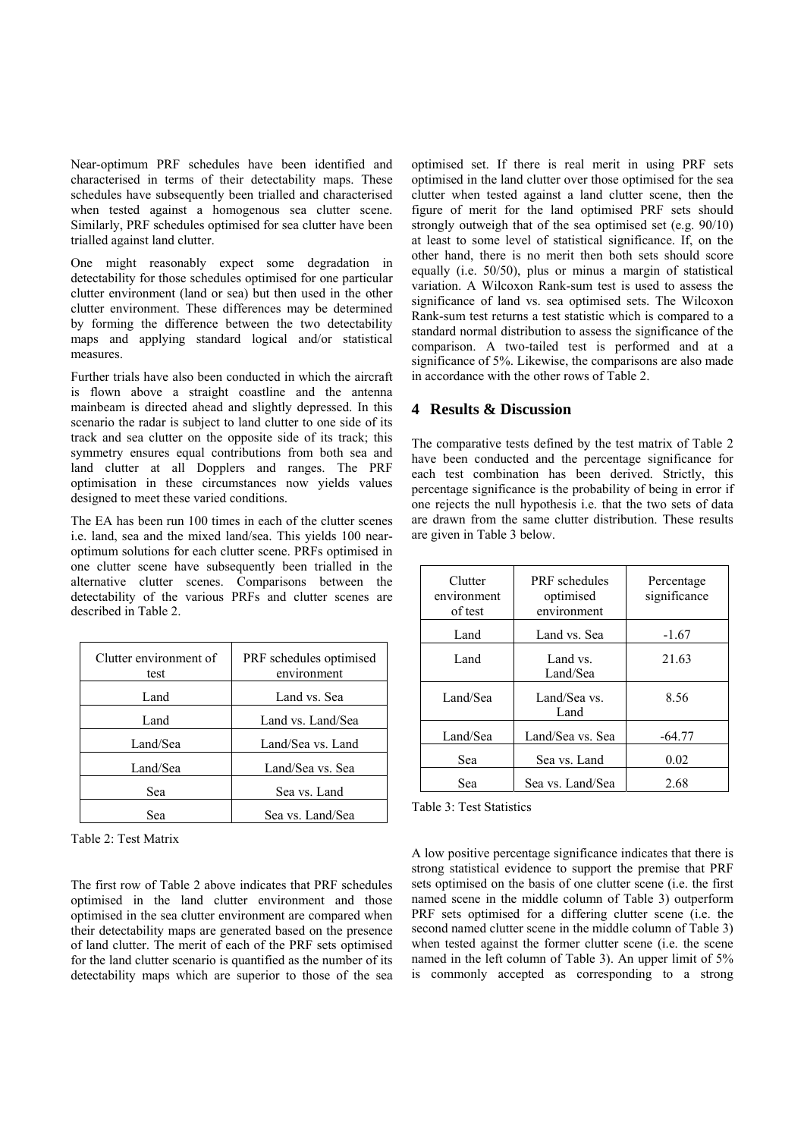Near-optimum PRF schedules have been identified and characterised in terms of their detectability maps. These schedules have subsequently been trialled and characterised when tested against a homogenous sea clutter scene. Similarly, PRF schedules optimised for sea clutter have been trialled against land clutter.

One might reasonably expect some degradation in detectability for those schedules optimised for one particular clutter environment (land or sea) but then used in the other clutter environment. These differences may be determined by forming the difference between the two detectability maps and applying standard logical and/or statistical measures.

Further trials have also been conducted in which the aircraft is flown above a straight coastline and the antenna mainbeam is directed ahead and slightly depressed. In this scenario the radar is subject to land clutter to one side of its track and sea clutter on the opposite side of its track; this symmetry ensures equal contributions from both sea and land clutter at all Dopplers and ranges. The PRF optimisation in these circumstances now yields values designed to meet these varied conditions.

The EA has been run 100 times in each of the clutter scenes i.e. land, sea and the mixed land/sea. This yields 100 nearoptimum solutions for each clutter scene. PRFs optimised in one clutter scene have subsequently been trialled in the alternative clutter scenes. Comparisons between the detectability of the various PRFs and clutter scenes are described in Table 2.

| Clutter environment of<br>test | PRF schedules optimised<br>environment |  |
|--------------------------------|----------------------------------------|--|
| Land                           | Land vs. Sea                           |  |
| Land                           | Land vs. Land/Sea                      |  |
| Land/Sea                       | Land/Sea vs. Land                      |  |
| Land/Sea                       | Land/Sea vs. Sea                       |  |
| Sea                            | Sea vs. Land                           |  |
| Sea                            | Sea vs. Land/Sea                       |  |

Table 2: Test Matrix

The first row of Table 2 above indicates that PRF schedules optimised in the land clutter environment and those optimised in the sea clutter environment are compared when their detectability maps are generated based on the presence of land clutter. The merit of each of the PRF sets optimised for the land clutter scenario is quantified as the number of its detectability maps which are superior to those of the sea optimised set. If there is real merit in using PRF sets optimised in the land clutter over those optimised for the sea clutter when tested against a land clutter scene, then the figure of merit for the land optimised PRF sets should strongly outweigh that of the sea optimised set (e.g. 90/10) at least to some level of statistical significance. If, on the other hand, there is no merit then both sets should score equally (i.e. 50/50), plus or minus a margin of statistical variation. A Wilcoxon Rank-sum test is used to assess the significance of land vs. sea optimised sets. The Wilcoxon Rank-sum test returns a test statistic which is compared to a standard normal distribution to assess the significance of the comparison. A two-tailed test is performed and at a significance of 5%. Likewise, the comparisons are also made in accordance with the other rows of Table 2.

# **4 Results & Discussion**

The comparative tests defined by the test matrix of Table 2 have been conducted and the percentage significance for each test combination has been derived. Strictly, this percentage significance is the probability of being in error if one rejects the null hypothesis i.e. that the two sets of data are drawn from the same clutter distribution. These results are given in Table 3 below.

| Clutter<br>environment<br>of test | PRF schedules<br>optimised<br>environment | Percentage<br>significance |
|-----------------------------------|-------------------------------------------|----------------------------|
| Land                              | Land vs. Sea                              | $-1.67$                    |
| Land                              | Land vs.<br>Land/Sea                      | 21.63                      |
| Land/Sea                          | Land/Sea vs.<br>Land                      | 8.56                       |
| Land/Sea                          | Land/Sea vs. Sea                          | $-64.77$                   |
| Sea                               | Sea vs. Land                              | 0.02                       |
| Sea                               | Sea vs. Land/Sea                          | 2.68                       |

Table 3: Test Statistics

A low positive percentage significance indicates that there is strong statistical evidence to support the premise that PRF sets optimised on the basis of one clutter scene (i.e. the first named scene in the middle column of Table 3) outperform PRF sets optimised for a differing clutter scene (i.e. the second named clutter scene in the middle column of Table 3) when tested against the former clutter scene (i.e. the scene named in the left column of Table 3). An upper limit of 5% is commonly accepted as corresponding to a strong